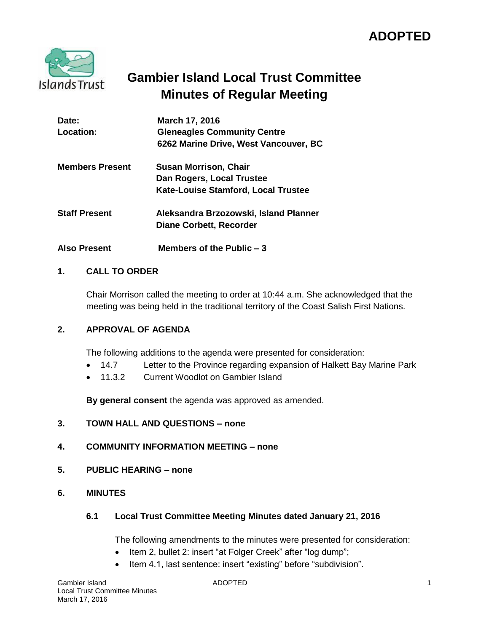

# **Gambier Island Local Trust Committee Minutes of Regular Meeting**

| Date:<br>Location:     | March 17, 2016<br><b>Gleneagles Community Centre</b><br>6262 Marine Drive, West Vancouver, BC    |
|------------------------|--------------------------------------------------------------------------------------------------|
| <b>Members Present</b> | <b>Susan Morrison, Chair</b><br>Dan Rogers, Local Trustee<br>Kate-Louise Stamford, Local Trustee |
| <b>Staff Present</b>   | Aleksandra Brzozowski, Island Planner<br><b>Diane Corbett, Recorder</b>                          |
| <b>Also Present</b>    | Members of the Public $-3$                                                                       |

# **1. CALL TO ORDER**

Chair Morrison called the meeting to order at 10:44 a.m. She acknowledged that the meeting was being held in the traditional territory of the Coast Salish First Nations.

## **2. APPROVAL OF AGENDA**

The following additions to the agenda were presented for consideration:

- 14.7 Letter to the Province regarding expansion of Halkett Bay Marine Park
- 11.3.2 Current Woodlot on Gambier Island

**By general consent** the agenda was approved as amended.

**3. TOWN HALL AND QUESTIONS – none** 

# **4. COMMUNITY INFORMATION MEETING – none**

- **5. PUBLIC HEARING – none**
- **6. MINUTES**

## **6.1 Local Trust Committee Meeting Minutes dated January 21, 2016**

The following amendments to the minutes were presented for consideration:

- Item 2, bullet 2: insert "at Folger Creek" after "log dump";
- Item 4.1, last sentence: insert "existing" before "subdivision".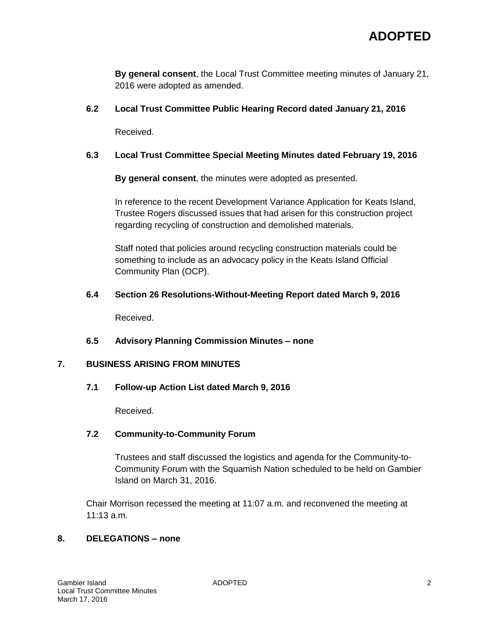**By general consent**, the Local Trust Committee meeting minutes of January 21, 2016 were adopted as amended.

# **6.2 Local Trust Committee Public Hearing Record dated January 21, 2016**

Received.

# **6.3 Local Trust Committee Special Meeting Minutes dated February 19, 2016**

**By general consent**, the minutes were adopted as presented.

In reference to the recent Development Variance Application for Keats Island, Trustee Rogers discussed issues that had arisen for this construction project regarding recycling of construction and demolished materials.

Staff noted that policies around recycling construction materials could be something to include as an advocacy policy in the Keats Island Official Community Plan (OCP).

# **6.4 Section 26 Resolutions-Without-Meeting Report dated March 9, 2016**

Received.

# **6.5 Advisory Planning Commission Minutes – none**

# **7. BUSINESS ARISING FROM MINUTES**

# **7.1 Follow-up Action List dated March 9, 2016**

Received.

# **7.2 Community-to-Community Forum**

Trustees and staff discussed the logistics and agenda for the Community-to-Community Forum with the Squamish Nation scheduled to be held on Gambier Island on March 31, 2016.

Chair Morrison recessed the meeting at 11:07 a.m. and reconvened the meeting at 11:13 a.m.

# **8. DELEGATIONS – none**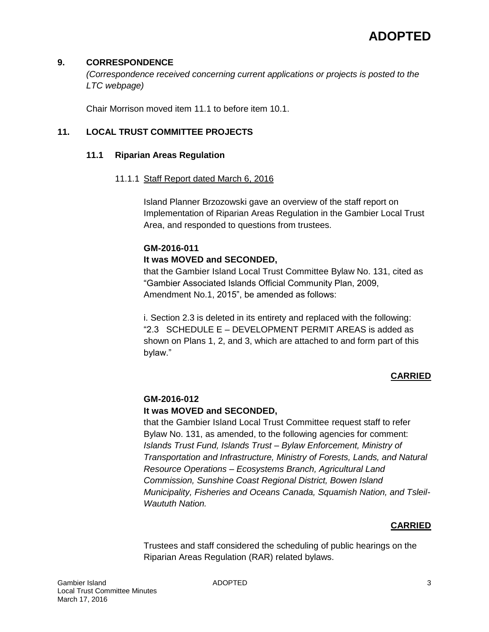# **9. CORRESPONDENCE**

*(Correspondence received concerning current applications or projects is posted to the LTC webpage)*

Chair Morrison moved item 11.1 to before item 10.1.

# **11. LOCAL TRUST COMMITTEE PROJECTS**

#### **11.1 Riparian Areas Regulation**

#### 11.1.1 Staff Report dated March 6, 2016

Island Planner Brzozowski gave an overview of the staff report on Implementation of Riparian Areas Regulation in the Gambier Local Trust Area, and responded to questions from trustees.

# **GM-2016-011**

## **It was MOVED and SECONDED,**

that the Gambier Island Local Trust Committee Bylaw No. 131, cited as "Gambier Associated Islands Official Community Plan, 2009, Amendment No.1, 2015", be amended as follows:

i. Section 2.3 is deleted in its entirety and replaced with the following: "2.3 SCHEDULE E – DEVELOPMENT PERMIT AREAS is added as shown on Plans 1, 2, and 3, which are attached to and form part of this bylaw."

# **CARRIED**

# **GM-2016-012**

## **It was MOVED and SECONDED,**

that the Gambier Island Local Trust Committee request staff to refer Bylaw No. 131, as amended, to the following agencies for comment: *Islands Trust Fund, Islands Trust – Bylaw Enforcement, Ministry of Transportation and Infrastructure, Ministry of Forests, Lands, and Natural Resource Operations – Ecosystems Branch, Agricultural Land Commission, Sunshine Coast Regional District, Bowen Island Municipality, Fisheries and Oceans Canada, Squamish Nation, and Tsleil-Waututh Nation.*

## **CARRIED**

Trustees and staff considered the scheduling of public hearings on the Riparian Areas Regulation (RAR) related bylaws.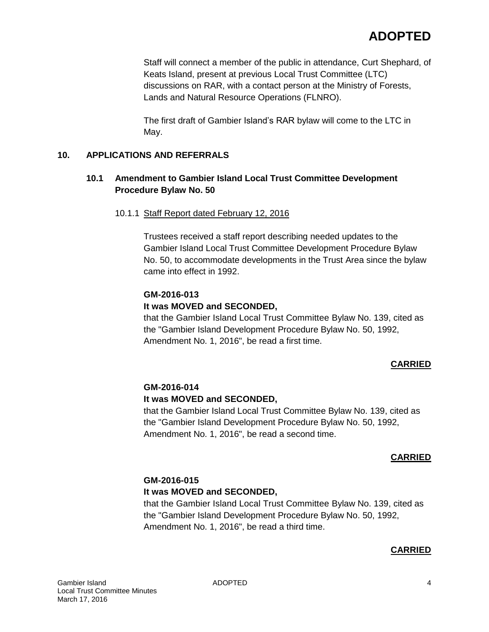Staff will connect a member of the public in attendance, Curt Shephard, of Keats Island, present at previous Local Trust Committee (LTC) discussions on RAR, with a contact person at the Ministry of Forests, Lands and Natural Resource Operations (FLNRO).

The first draft of Gambier Island's RAR bylaw will come to the LTC in May.

# **10. APPLICATIONS AND REFERRALS**

# **10.1 Amendment to Gambier Island Local Trust Committee Development Procedure Bylaw No. 50**

10.1.1 Staff Report dated February 12, 2016

Trustees received a staff report describing needed updates to the Gambier Island Local Trust Committee Development Procedure Bylaw No. 50, to accommodate developments in the Trust Area since the bylaw came into effect in 1992.

## **GM-2016-013**

#### **It was MOVED and SECONDED,**

that the Gambier Island Local Trust Committee Bylaw No. 139, cited as the "Gambier Island Development Procedure Bylaw No. 50, 1992, Amendment No. 1, 2016", be read a first time.

## **CARRIED**

#### **GM-2016-014**

## **It was MOVED and SECONDED,**

that the Gambier Island Local Trust Committee Bylaw No. 139, cited as the "Gambier Island Development Procedure Bylaw No. 50, 1992, Amendment No. 1, 2016", be read a second time.

## **CARRIED**

# **GM-2016-015**

#### **It was MOVED and SECONDED,**

that the Gambier Island Local Trust Committee Bylaw No. 139, cited as the "Gambier Island Development Procedure Bylaw No. 50, 1992, Amendment No. 1, 2016", be read a third time.

## **CARRIED**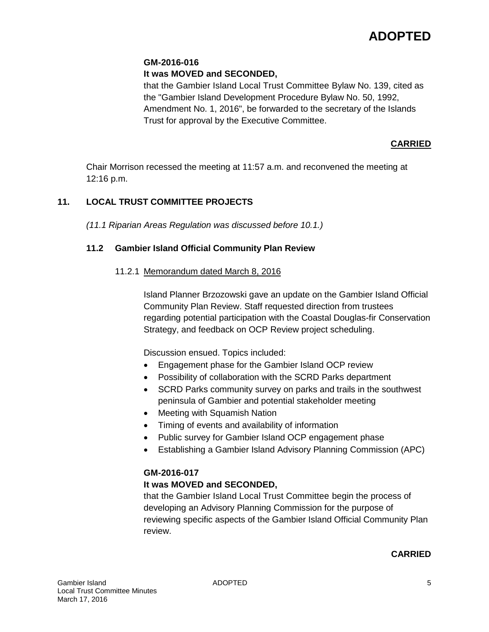# **GM-2016-016**

# **It was MOVED and SECONDED,**

that the Gambier Island Local Trust Committee Bylaw No. 139, cited as the "Gambier Island Development Procedure Bylaw No. 50, 1992, Amendment No. 1, 2016", be forwarded to the secretary of the Islands Trust for approval by the Executive Committee.

# **CARRIED**

Chair Morrison recessed the meeting at 11:57 a.m. and reconvened the meeting at 12:16 p.m.

# **11. LOCAL TRUST COMMITTEE PROJECTS**

*(11.1 Riparian Areas Regulation was discussed before 10.1.)*

# **11.2 Gambier Island Official Community Plan Review**

# 11.2.1 Memorandum dated March 8, 2016

Island Planner Brzozowski gave an update on the Gambier Island Official Community Plan Review. Staff requested direction from trustees regarding potential participation with the Coastal Douglas-fir Conservation Strategy, and feedback on OCP Review project scheduling.

Discussion ensued. Topics included:

- Engagement phase for the Gambier Island OCP review
- Possibility of collaboration with the SCRD Parks department
- SCRD Parks community survey on parks and trails in the southwest peninsula of Gambier and potential stakeholder meeting
- Meeting with Squamish Nation
- Timing of events and availability of information
- Public survey for Gambier Island OCP engagement phase
- Establishing a Gambier Island Advisory Planning Commission (APC)

# **GM-2016-017**

# **It was MOVED and SECONDED,**

that the Gambier Island Local Trust Committee begin the process of developing an Advisory Planning Commission for the purpose of reviewing specific aspects of the Gambier Island Official Community Plan review.

# **CARRIED**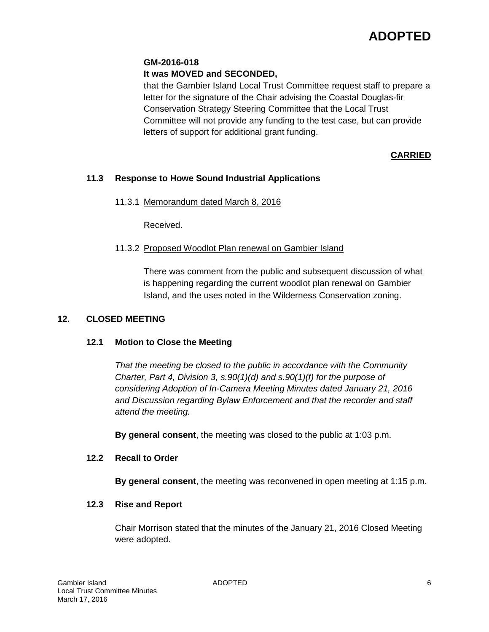# **GM-2016-018**

# **It was MOVED and SECONDED,**

that the Gambier Island Local Trust Committee request staff to prepare a letter for the signature of the Chair advising the Coastal Douglas-fir Conservation Strategy Steering Committee that the Local Trust Committee will not provide any funding to the test case, but can provide letters of support for additional grant funding.

# **CARRIED**

# **11.3 Response to Howe Sound Industrial Applications**

11.3.1 Memorandum dated March 8, 2016

Received.

## 11.3.2 Proposed Woodlot Plan renewal on Gambier Island

There was comment from the public and subsequent discussion of what is happening regarding the current woodlot plan renewal on Gambier Island, and the uses noted in the Wilderness Conservation zoning.

## **12. CLOSED MEETING**

# **12.1 Motion to Close the Meeting**

*That the meeting be closed to the public in accordance with the Community Charter, Part 4, Division 3, s.90(1)(d) and s.90(1)(f) for the purpose of considering Adoption of In-Camera Meeting Minutes dated January 21, 2016 and Discussion regarding Bylaw Enforcement and that the recorder and staff attend the meeting.*

**By general consent**, the meeting was closed to the public at 1:03 p.m.

#### **12.2 Recall to Order**

**By general consent**, the meeting was reconvened in open meeting at 1:15 p.m.

## **12.3 Rise and Report**

Chair Morrison stated that the minutes of the January 21, 2016 Closed Meeting were adopted.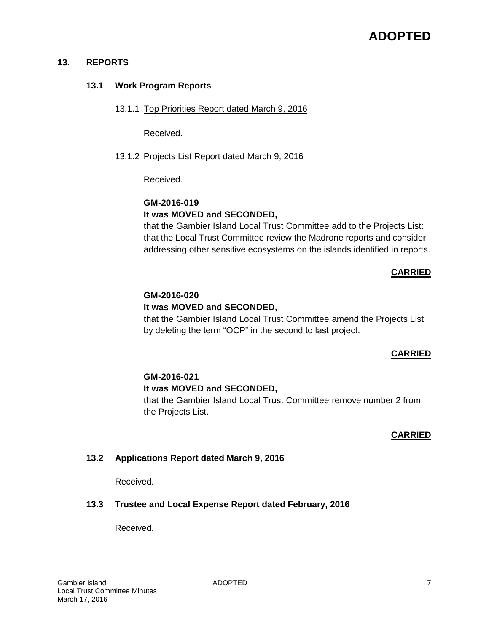#### **13. REPORTS**

#### **13.1 Work Program Reports**

13.1.1 Top Priorities Report dated March 9, 2016

Received.

13.1.2 Projects List Report dated March 9, 2016

Received.

# **GM-2016-019 It was MOVED and SECONDED,**

that the Gambier Island Local Trust Committee add to the Projects List: that the Local Trust Committee review the Madrone reports and consider addressing other sensitive ecosystems on the islands identified in reports.

# **CARRIED**

## **GM-2016-020**

## **It was MOVED and SECONDED,**

that the Gambier Island Local Trust Committee amend the Projects List by deleting the term "OCP" in the second to last project.

## **CARRIED**

## **GM-2016-021**

## **It was MOVED and SECONDED,**

that the Gambier Island Local Trust Committee remove number 2 from the Projects List.

#### **CARRIED**

## **13.2 Applications Report dated March 9, 2016**

Received.

## **13.3 Trustee and Local Expense Report dated February, 2016**

Received.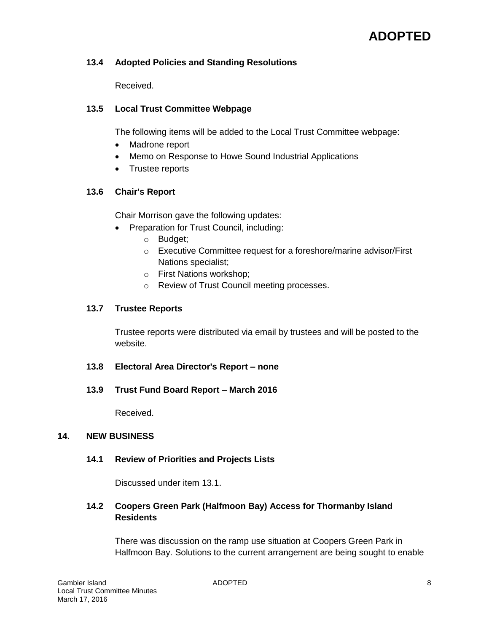# **13.4 Adopted Policies and Standing Resolutions**

Received.

# **13.5 Local Trust Committee Webpage**

The following items will be added to the Local Trust Committee webpage:

- Madrone report
- Memo on Response to Howe Sound Industrial Applications
- Trustee reports

# **13.6 Chair's Report**

Chair Morrison gave the following updates:

- Preparation for Trust Council, including:
	- o Budget;
	- o Executive Committee request for a foreshore/marine advisor/First Nations specialist;
	- o First Nations workshop;
	- o Review of Trust Council meeting processes.

# **13.7 Trustee Reports**

Trustee reports were distributed via email by trustees and will be posted to the website.

**13.8 Electoral Area Director's Report – none** 

# **13.9 Trust Fund Board Report – March 2016**

Received.

## **14. NEW BUSINESS**

## **14.1 Review of Priorities and Projects Lists**

Discussed under item 13.1.

# **14.2 Coopers Green Park (Halfmoon Bay) Access for Thormanby Island Residents**

There was discussion on the ramp use situation at Coopers Green Park in Halfmoon Bay. Solutions to the current arrangement are being sought to enable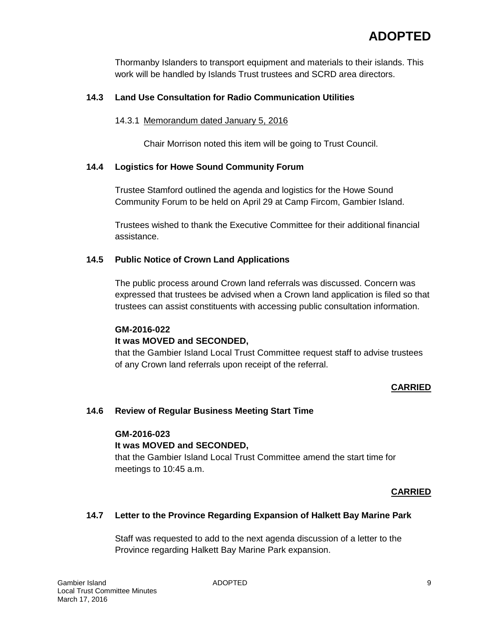Thormanby Islanders to transport equipment and materials to their islands. This work will be handled by Islands Trust trustees and SCRD area directors.

# **14.3 Land Use Consultation for Radio Communication Utilities**

# 14.3.1 Memorandum dated January 5, 2016

Chair Morrison noted this item will be going to Trust Council.

# **14.4 Logistics for Howe Sound Community Forum**

Trustee Stamford outlined the agenda and logistics for the Howe Sound Community Forum to be held on April 29 at Camp Fircom, Gambier Island.

Trustees wished to thank the Executive Committee for their additional financial assistance.

# **14.5 Public Notice of Crown Land Applications**

The public process around Crown land referrals was discussed. Concern was expressed that trustees be advised when a Crown land application is filed so that trustees can assist constituents with accessing public consultation information.

## **GM-2016-022**

## **It was MOVED and SECONDED,**

that the Gambier Island Local Trust Committee request staff to advise trustees of any Crown land referrals upon receipt of the referral.

## **CARRIED**

## **14.6 Review of Regular Business Meeting Start Time**

## **GM-2016-023**

## **It was MOVED and SECONDED,**

that the Gambier Island Local Trust Committee amend the start time for meetings to 10:45 a.m.

## **CARRIED**

## **14.7 Letter to the Province Regarding Expansion of Halkett Bay Marine Park**

Staff was requested to add to the next agenda discussion of a letter to the Province regarding Halkett Bay Marine Park expansion.